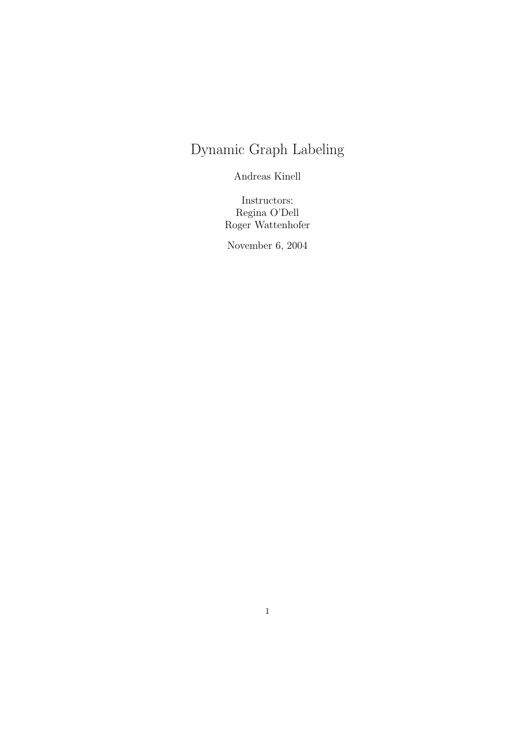# Dynamic Graph Labeling

Andreas Kinell

Instructors: Regina O'Dell Roger Wattenhofer

November 6, 2004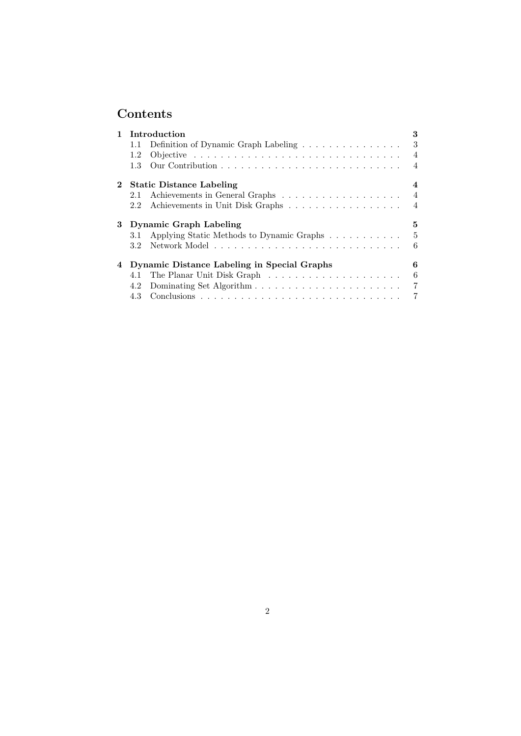## Contents

|            | Introduction                                     | 3              |
|------------|--------------------------------------------------|----------------|
|            | Definition of Dynamic Graph Labeling<br>1.1      | 3              |
|            | 1.2                                              | $\overline{4}$ |
|            | 1.3                                              | $\overline{4}$ |
| $\bf{2}^-$ | <b>Static Distance Labeling</b>                  | 4              |
|            | 2.1                                              | $\overline{4}$ |
|            | Achievements in Unit Disk Graphs<br>2.2          | $\overline{4}$ |
|            |                                                  |                |
| 3          | <b>Dynamic Graph Labeling</b>                    | 5.             |
|            | Applying Static Methods to Dynamic Graphs<br>3.1 | 5              |
|            | $3.2\,$                                          | 6              |
| 4          | Dynamic Distance Labeling in Special Graphs      | 6              |
|            | 4.1                                              | 6              |
|            | 4.2                                              | $\overline{7}$ |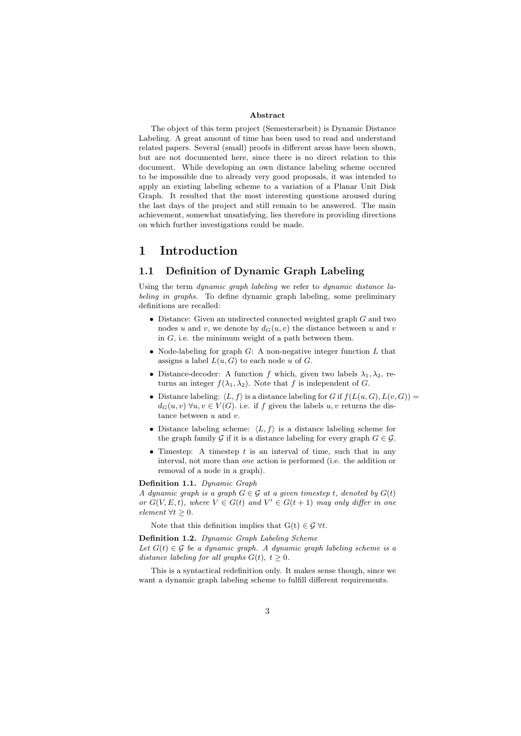#### Abstract

The object of this term project (Semesterarbeit) is Dynamic Distance Labeling. A great amount of time has been used to read and understand related papers. Several (small) proofs in different areas have been shown, but are not documented here, since there is no direct relation to this document. While developing an own distance labeling scheme occured to be impossible due to already very good proposals, it was intended to apply an existing labeling scheme to a variation of a Planar Unit Disk Graph. It resulted that the most interesting questions aroused during the last days of the project and still remain to be answered. The main achievement, somewhat unsatisfying, lies therefore in providing directions on which further investigations could be made.

### 1 Introduction

#### 1.1 Definition of Dynamic Graph Labeling

Using the term dynamic graph labeling we refer to dynamic distance labeling in graphs. To define dynamic graph labeling, some preliminary definitions are recalled:

- Distance: Given an undirected connected weighted graph G and two nodes u and v, we denote by  $d_G(u, v)$  the distance between u and v in  $G$ , i.e. the minimum weight of a path between them.
- Node-labeling for graph  $G$ : A non-negative integer function  $L$  that assigns a label  $L(u, G)$  to each node u of G.
- Distance-decoder: A function f which, given two labels  $\lambda_1, \lambda_2$ , returns an integer  $f(\lambda_1, \lambda_2)$ . Note that f is independent of G.
- Distance labeling:  $\langle L, f \rangle$  is a distance labeling for G if  $f(L(u, G), L(v, G)) =$  $d_G(u, v) \,\forall u, v \in V(G)$ . i.e. if f given the labels u, v returns the distance between  $u$  and  $v$ .
- Distance labeling scheme:  $\langle L, f \rangle$  is a distance labeling scheme for the graph family G if it is a distance labeling for every graph  $G \in \mathcal{G}$ .
- Timestep: A timestep  $t$  is an interval of time, such that in any interval, not more than one action is performed (i.e. the addition or removal of a node in a graph).

Definition 1.1. Dynamic Graph

A dynamic graph is a graph  $G \in \mathcal{G}$  at a given timestep t, denoted by  $G(t)$ or  $G(V, E, t)$ , where  $V \in G(t)$  and  $V' \in G(t + 1)$  may only differ in one element  $\forall t \geq 0$ .

Note that this definition implies that  $G(t) \in \mathcal{G} \forall t$ .

Definition 1.2. Dynamic Graph Labeling Scheme

Let  $G(t) \in \mathcal{G}$  be a dynamic graph. A dynamic graph labeling scheme is a distance labeling for all graphs  $G(t)$ ,  $t \geq 0$ .

This is a syntactical redefinition only. It makes sense though, since we want a dynamic graph labeling scheme to fulfill different requirements.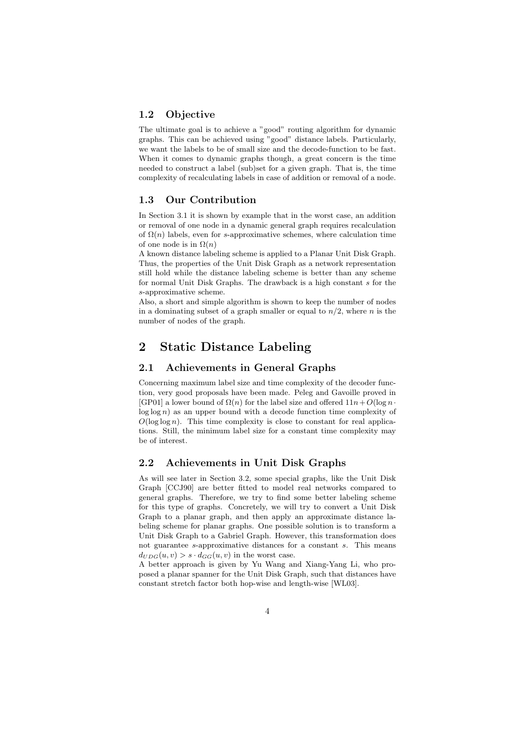#### 1.2 Objective

The ultimate goal is to achieve a "good" routing algorithm for dynamic graphs. This can be achieved using "good" distance labels. Particularly, we want the labels to be of small size and the decode-function to be fast. When it comes to dynamic graphs though, a great concern is the time needed to construct a label (sub)set for a given graph. That is, the time complexity of recalculating labels in case of addition or removal of a node.

#### 1.3 Our Contribution

In Section 3.1 it is shown by example that in the worst case, an addition or removal of one node in a dynamic general graph requires recalculation of  $\Omega(n)$  labels, even for s-approximative schemes, where calculation time of one node is in  $\Omega(n)$ 

A known distance labeling scheme is applied to a Planar Unit Disk Graph. Thus, the properties of the Unit Disk Graph as a network representation still hold while the distance labeling scheme is better than any scheme for normal Unit Disk Graphs. The drawback is a high constant s for the s-approximative scheme.

Also, a short and simple algorithm is shown to keep the number of nodes in a dominating subset of a graph smaller or equal to  $n/2$ , where n is the number of nodes of the graph.

## 2 Static Distance Labeling

#### 2.1 Achievements in General Graphs

Concerning maximum label size and time complexity of the decoder function, very good proposals have been made. Peleg and Gavoille proved in [GP01] a lower bound of  $\Omega(n)$  for the label size and offered  $11n+O(\log n)$ .  $log log n)$  as an upper bound with a decode function time complexity of  $O(\log \log n)$ . This time complexity is close to constant for real applications. Still, the minimum label size for a constant time complexity may be of interest.

#### 2.2 Achievements in Unit Disk Graphs

As will see later in Section 3.2, some special graphs, like the Unit Disk Graph [CCJ90] are better fitted to model real networks compared to general graphs. Therefore, we try to find some better labeling scheme for this type of graphs. Concretely, we will try to convert a Unit Disk Graph to a planar graph, and then apply an approximate distance labeling scheme for planar graphs. One possible solution is to transform a Unit Disk Graph to a Gabriel Graph. However, this transformation does not guarantee s-approximative distances for a constant s. This means  $d_{UDG}(u, v) > s \cdot d_{GG}(u, v)$  in the worst case.

A better approach is given by Yu Wang and Xiang-Yang Li, who proposed a planar spanner for the Unit Disk Graph, such that distances have constant stretch factor both hop-wise and length-wise [WL03].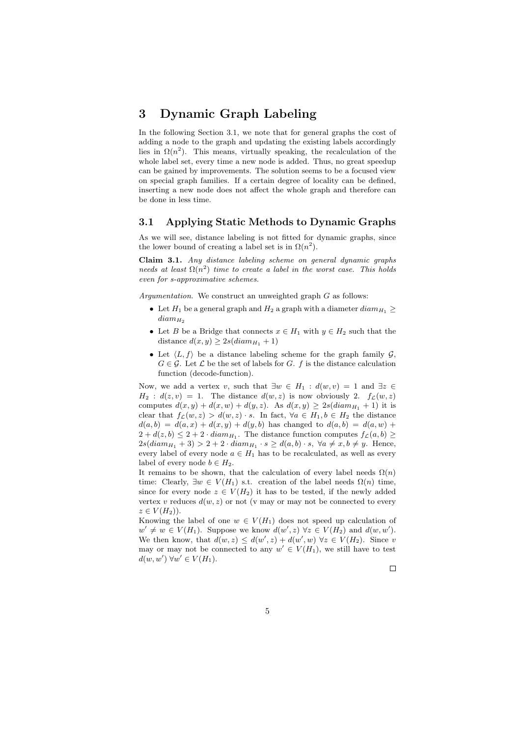## 3 Dynamic Graph Labeling

In the following Section 3.1, we note that for general graphs the cost of adding a node to the graph and updating the existing labels accordingly lies in  $\Omega(n^2)$ . This means, virtually speaking, the recalculation of the whole label set, every time a new node is added. Thus, no great speedup can be gained by improvements. The solution seems to be a focused view on special graph families. If a certain degree of locality can be defined, inserting a new node does not affect the whole graph and therefore can be done in less time.

#### 3.1 Applying Static Methods to Dynamic Graphs

As we will see, distance labeling is not fitted for dynamic graphs, since the lower bound of creating a label set is in  $\Omega(n^2)$ .

Claim 3.1. Any distance labeling scheme on general dynamic graphs needs at least  $\Omega(n^2)$  time to create a label in the worst case. This holds even for s-approximative schemes.

Argumentation. We construct an unweighted graph G as follows:

- Let  $H_1$  be a general graph and  $H_2$  a graph with a diameter  $diam_{H_1} \ge$  $diam_{H_2}$
- Let B be a Bridge that connects  $x \in H_1$  with  $y \in H_2$  such that the distance  $d(x, y) \geq 2s(diam_{H_1} + 1)$
- Let  $\langle L, f \rangle$  be a distance labeling scheme for the graph family  $\mathcal{G},$  $G \in \mathcal{G}$ . Let  $\mathcal{L}$  be the set of labels for G. f is the distance calculation function (decode-function).

Now, we add a vertex v, such that  $\exists w \in H_1 : d(w, v) = 1$  and  $\exists z \in$  $H_2$ :  $d(z, v) = 1$ . The distance  $d(w, z)$  is now obviously 2.  $f_c(w, z)$ computes  $d(x, y) + d(x, w) + d(y, z)$ . As  $d(x, y) \geq 2s(diam_{H_1} + 1)$  it is clear that  $f_{\mathcal{L}}(w, z) > d(w, z) \cdot s$ . In fact,  $\forall a \in H_1, b \in H_2$  the distance  $d(a, b) = d(a, x) + d(x, y) + d(y, b)$  has changed to  $d(a, b) = d(a, w) +$  $2 + d(z, b) \leq 2 + 2 \cdot diam_{H_1}$ . The distance function computes  $f_{\mathcal{L}}(a, b) \geq$  $2s(diam_{H_1} + 3) > 2 + 2 \cdot diam_{H_1} \cdot s \geq d(a, b) \cdot s, \ \forall a \neq x, b \neq y.$  Hence, every label of every node  $a \in H_1$  has to be recalculated, as well as every label of every node  $b \in H_2$ .

It remains to be shown, that the calculation of every label needs  $\Omega(n)$ time: Clearly,  $\exists w \in V(H_1)$  s.t. creation of the label needs  $\Omega(n)$  time, since for every node  $z \in V(H_2)$  it has to be tested, if the newly added vertex v reduces  $d(w, z)$  or not (v may or may not be connected to every  $z \in V(H_2)$ .

Knowing the label of one  $w \in V(H_1)$  does not speed up calculation of  $w' \neq w \in V(H_1)$ . Suppose we know  $d(w', z) \forall z \in V(H_2)$  and  $d(w, w')$ . We then know, that  $d(w, z) \leq d(w', z) + d(w', w) \ \forall z \in V(H_2)$ . Since v may or may not be connected to any  $w' \in V(H_1)$ , we still have to test  $d(w, w') \ \forall w' \in V(H_1).$ 

 $\Box$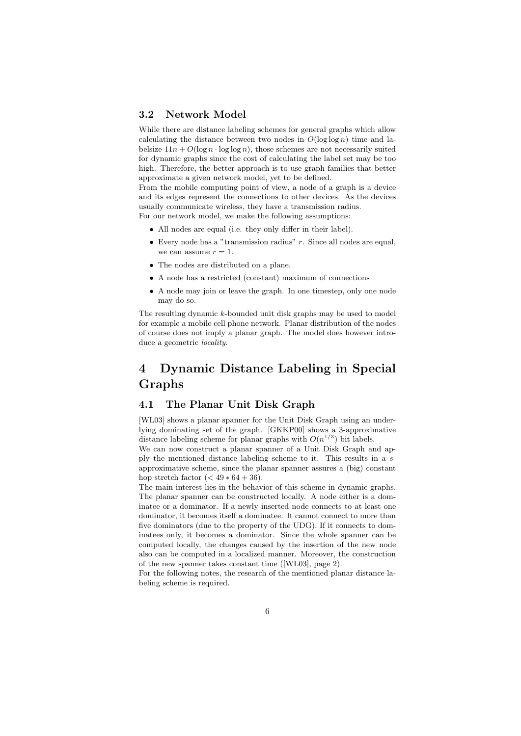#### 3.2 Network Model

While there are distance labeling schemes for general graphs which allow calculating the distance between two nodes in  $O(\log \log n)$  time and labelsize  $11n + O(\log n \cdot \log \log n)$ , those schemes are not necessarily suited for dynamic graphs since the cost of calculating the label set may be too high. Therefore, the better approach is to use graph families that better approximate a given network model, yet to be defined.

From the mobile computing point of view, a node of a graph is a device and its edges represent the connections to other devices. As the devices usually communicate wireless, they have a transmission radius.

For our network model, we make the following assumptions:

- All nodes are equal (i.e. they only differ in their label).
- Every node has a "transmission radius"  $r$ . Since all nodes are equal, we can assume  $r = 1$ .
- The nodes are distributed on a plane.
- A node has a restricted (constant) maximum of connections
- A node may join or leave the graph. In one timestep, only one node may do so.

The resulting dynamic k-bounded unit disk graphs may be used to model for example a mobile cell phone network. Planar distribution of the nodes of course does not imply a planar graph. The model does however introduce a geometric *locality*.

## 4 Dynamic Distance Labeling in Special Graphs

#### 4.1 The Planar Unit Disk Graph

[WL03] shows a planar spanner for the Unit Disk Graph using an underlying dominating set of the graph. [GKKP00] shows a 3-approximative distance labeling scheme for planar graphs with  $O(n^{1/3})$  bit labels.

We can now construct a planar spanner of a Unit Disk Graph and apply the mentioned distance labeling scheme to it. This results in a sapproximative scheme, since the planar spanner assures a (big) constant hop stretch factor  $(< 49 * 64 + 36)$ .

The main interest lies in the behavior of this scheme in dynamic graphs. The planar spanner can be constructed locally. A node either is a dominatee or a dominator. If a newly inserted node connects to at least one dominator, it becomes itself a dominatee. It cannot connect to more than five dominators (due to the property of the UDG). If it connects to dominatees only, it becomes a dominator. Since the whole spanner can be computed locally, the changes caused by the insertion of the new node also can be computed in a localized manner. Moreover, the construction of the new spanner takes constant time ([WL03], page 2).

For the following notes, the research of the mentioned planar distance labeling scheme is required.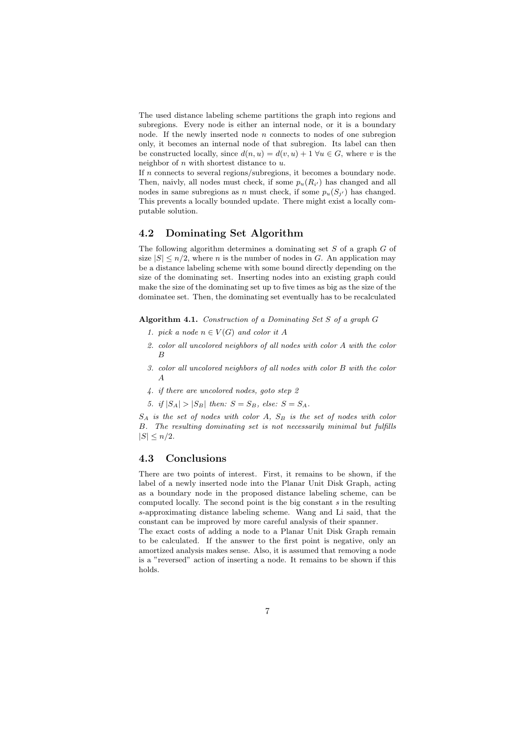The used distance labeling scheme partitions the graph into regions and subregions. Every node is either an internal node, or it is a boundary node. If the newly inserted node  $n$  connects to nodes of one subregion only, it becomes an internal node of that subregion. Its label can then be constructed locally, since  $d(n, u) = d(v, u) + 1 \,\forall u \in G$ , where v is the neighbor of  $n$  with shortest distance to  $u$ .

If  $n$  connects to several regions/subregions, it becomes a boundary node. Then, naivly, all nodes must check, if some  $p_u(R_{i'})$  has changed and all nodes in same subregions as n must check, if some  $p_u(S_{j'})$  has changed. This prevents a locally bounded update. There might exist a locally computable solution.

#### 4.2 Dominating Set Algorithm

The following algorithm determines a dominating set  $S$  of a graph  $G$  of size  $|S| \leq n/2$ , where *n* is the number of nodes in *G*. An application may be a distance labeling scheme with some bound directly depending on the size of the dominating set. Inserting nodes into an existing graph could make the size of the dominating set up to five times as big as the size of the dominatee set. Then, the dominating set eventually has to be recalculated

Algorithm 4.1. Construction of a Dominating Set  $S$  of a graph  $G$ 

- 1. pick a node  $n \in V(G)$  and color it A
- 2. color all uncolored neighbors of all nodes with color A with the color B
- 3. color all uncolored neighbors of all nodes with color B with the color A
- 4. if there are uncolored nodes, goto step 2

5. if  $|S_A| > |S_B|$  then:  $S = S_B$ , else:  $S = S_A$ .

 $S_A$  is the set of nodes with color A,  $S_B$  is the set of nodes with color B. The resulting dominating set is not necessarily minimal but fulfills  $|S| \leq n/2$ .

#### 4.3 Conclusions

There are two points of interest. First, it remains to be shown, if the label of a newly inserted node into the Planar Unit Disk Graph, acting as a boundary node in the proposed distance labeling scheme, can be computed locally. The second point is the big constant  $s$  in the resulting s-approximating distance labeling scheme. Wang and Li said, that the constant can be improved by more careful analysis of their spanner.

The exact costs of adding a node to a Planar Unit Disk Graph remain to be calculated. If the answer to the first point is negative, only an amortized analysis makes sense. Also, it is assumed that removing a node is a "reversed" action of inserting a node. It remains to be shown if this holds.